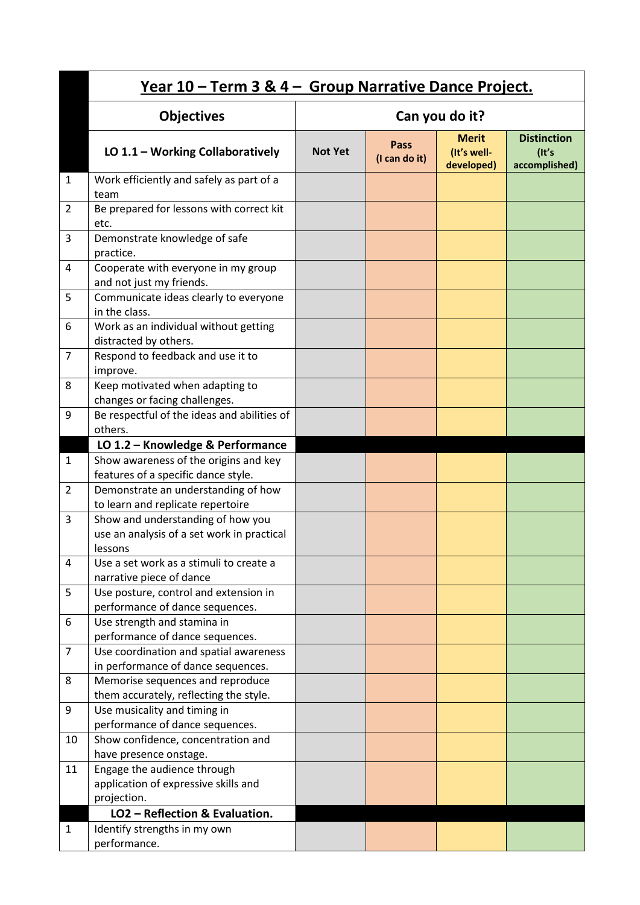|                |                                                                                            | <u>Year 10 – Term 3 &amp; 4 – Group Narrative Dance Project.</u> |                       |                                           |                                              |  |  |  |
|----------------|--------------------------------------------------------------------------------------------|------------------------------------------------------------------|-----------------------|-------------------------------------------|----------------------------------------------|--|--|--|
|                | <b>Objectives</b>                                                                          | Can you do it?                                                   |                       |                                           |                                              |  |  |  |
|                | LO 1.1 - Working Collaboratively                                                           | <b>Not Yet</b>                                                   | Pass<br>(I can do it) | <b>Merit</b><br>(It's well-<br>developed) | <b>Distinction</b><br>(It's<br>accomplished) |  |  |  |
| 1              | Work efficiently and safely as part of a<br>team                                           |                                                                  |                       |                                           |                                              |  |  |  |
| 2              | Be prepared for lessons with correct kit<br>etc.                                           |                                                                  |                       |                                           |                                              |  |  |  |
| 3              | Demonstrate knowledge of safe<br>practice.                                                 |                                                                  |                       |                                           |                                              |  |  |  |
| 4              | Cooperate with everyone in my group<br>and not just my friends.                            |                                                                  |                       |                                           |                                              |  |  |  |
| 5              | Communicate ideas clearly to everyone<br>in the class.                                     |                                                                  |                       |                                           |                                              |  |  |  |
| 6              | Work as an individual without getting<br>distracted by others.                             |                                                                  |                       |                                           |                                              |  |  |  |
| $\overline{7}$ | Respond to feedback and use it to<br>improve.                                              |                                                                  |                       |                                           |                                              |  |  |  |
| 8              | Keep motivated when adapting to<br>changes or facing challenges.                           |                                                                  |                       |                                           |                                              |  |  |  |
| 9              | Be respectful of the ideas and abilities of<br>others.                                     |                                                                  |                       |                                           |                                              |  |  |  |
|                | LO 1.2 - Knowledge & Performance                                                           |                                                                  |                       |                                           |                                              |  |  |  |
| $\mathbf{1}$   | Show awareness of the origins and key                                                      |                                                                  |                       |                                           |                                              |  |  |  |
|                | features of a specific dance style.                                                        |                                                                  |                       |                                           |                                              |  |  |  |
| 2              | Demonstrate an understanding of how                                                        |                                                                  |                       |                                           |                                              |  |  |  |
|                | to learn and replicate repertoire                                                          |                                                                  |                       |                                           |                                              |  |  |  |
| 3              | Show and understanding of how you<br>use an analysis of a set work in practical<br>lessons |                                                                  |                       |                                           |                                              |  |  |  |
| 4              | Use a set work as a stimuli to create a                                                    |                                                                  |                       |                                           |                                              |  |  |  |
|                | narrative piece of dance                                                                   |                                                                  |                       |                                           |                                              |  |  |  |
| 5              | Use posture, control and extension in<br>performance of dance sequences.                   |                                                                  |                       |                                           |                                              |  |  |  |
| 6              | Use strength and stamina in<br>performance of dance sequences.                             |                                                                  |                       |                                           |                                              |  |  |  |
| $\overline{7}$ | Use coordination and spatial awareness<br>in performance of dance sequences.               |                                                                  |                       |                                           |                                              |  |  |  |
| 8              | Memorise sequences and reproduce<br>them accurately, reflecting the style.                 |                                                                  |                       |                                           |                                              |  |  |  |
| 9              | Use musicality and timing in                                                               |                                                                  |                       |                                           |                                              |  |  |  |
|                | performance of dance sequences.                                                            |                                                                  |                       |                                           |                                              |  |  |  |
| 10             | Show confidence, concentration and                                                         |                                                                  |                       |                                           |                                              |  |  |  |
|                | have presence onstage.                                                                     |                                                                  |                       |                                           |                                              |  |  |  |
| 11             | Engage the audience through                                                                |                                                                  |                       |                                           |                                              |  |  |  |
|                | application of expressive skills and                                                       |                                                                  |                       |                                           |                                              |  |  |  |
|                | projection.<br>LO2 - Reflection & Evaluation.                                              |                                                                  |                       |                                           |                                              |  |  |  |
|                |                                                                                            |                                                                  |                       |                                           |                                              |  |  |  |
| $\mathbf{1}$   | Identify strengths in my own<br>performance.                                               |                                                                  |                       |                                           |                                              |  |  |  |
|                |                                                                                            |                                                                  |                       |                                           |                                              |  |  |  |